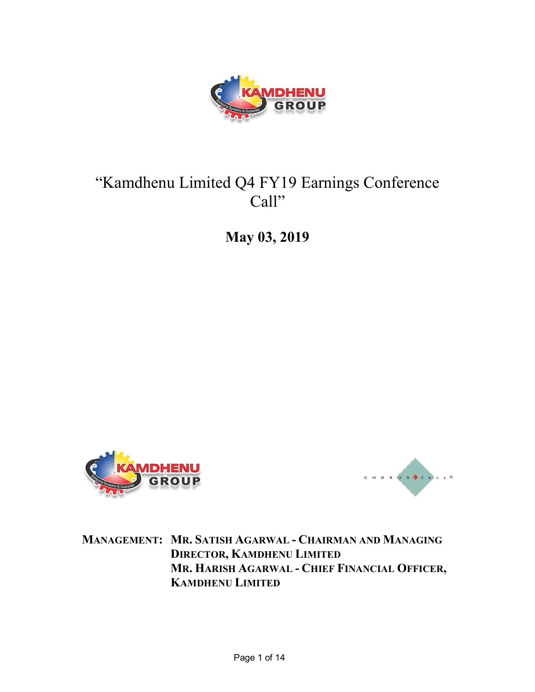

# "Kamdhenu Limited Q4 FY19 Earnings Conference Call"

May 03, 2019





MANAGEMENT: MR. SATISH AGARWAL - CHAIRMAN AND MANAGING DIRECTOR, KAMDHENU LIMITED MR. HARISH AGARWAL - CHIEF FINANCIAL OFFICER, KAMDHENU LIMITED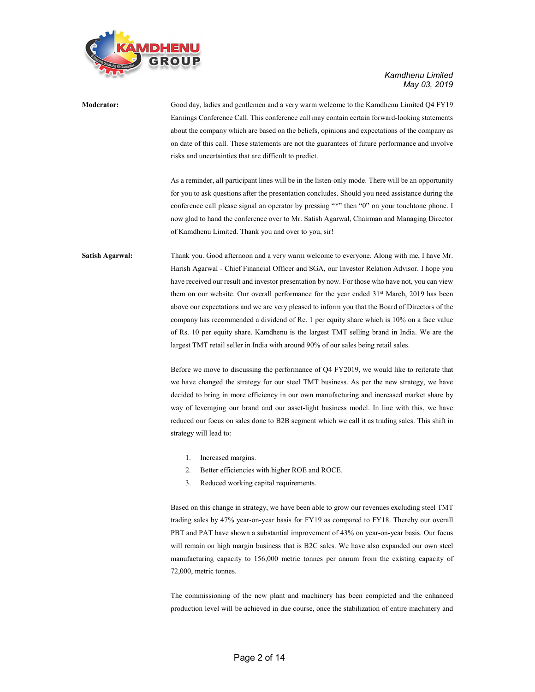

| <b>Moderator:</b>      | Good day, ladies and gentlemen and a very warm welcome to the Kamdhenu Limited Q4 FY19                |
|------------------------|-------------------------------------------------------------------------------------------------------|
|                        | Earnings Conference Call. This conference call may contain certain forward-looking statements         |
|                        | about the company which are based on the beliefs, opinions and expectations of the company as         |
|                        | on date of this call. These statements are not the guarantees of future performance and involve       |
|                        | risks and uncertainties that are difficult to predict.                                                |
|                        | As a reminder, all participant lines will be in the listen-only mode. There will be an opportunity    |
|                        | for you to ask questions after the presentation concludes. Should you need assistance during the      |
|                        | conference call please signal an operator by pressing "*" then "0" on your touchtone phone. I         |
|                        | now glad to hand the conference over to Mr. Satish Agarwal, Chairman and Managing Director            |
|                        | of Kamdhenu Limited. Thank you and over to you, sir!                                                  |
| <b>Satish Agarwal:</b> | Thank you. Good afternoon and a very warm welcome to everyone. Along with me, I have Mr.              |
|                        | Harish Agarwal - Chief Financial Officer and SGA, our Investor Relation Advisor. I hope you           |
|                        | have received our result and investor presentation by now. For those who have not, you can view       |
|                        | them on our website. Our overall performance for the year ended 31 <sup>st</sup> March, 2019 has been |
|                        | above our expectations and we are very pleased to inform you that the Board of Directors of the       |
|                        | company has recommended a dividend of Re. 1 per equity share which is 10% on a face value             |
|                        | of Rs. 10 per equity share. Kamdhenu is the largest TMT selling brand in India. We are the            |
|                        | largest TMT retail seller in India with around 90% of our sales being retail sales.                   |
|                        | Before we move to discussing the performance of Q4 FY2019, we would like to reiterate that            |
|                        | we have changed the strategy for our steel TMT business. As per the new strategy, we have             |
|                        | decided to bring in more efficiency in our own manufacturing and increased market share by            |

decided to bring in more efficiency in our own manufacturing and increased market share by way of leveraging our brand and our asset-light business model. In line with this, we have reduced our focus on sales done to B2B segment which we call it as trading sales. This shift in strategy will lead to:

- 1. Increased margins.
- 2. Better efficiencies with higher ROE and ROCE.
- 3. Reduced working capital requirements.

Based on this change in strategy, we have been able to grow our revenues excluding steel TMT trading sales by 47% year-on-year basis for FY19 as compared to FY18. Thereby our overall PBT and PAT have shown a substantial improvement of 43% on year-on-year basis. Our focus will remain on high margin business that is B2C sales. We have also expanded our own steel manufacturing capacity to 156,000 metric tonnes per annum from the existing capacity of 72,000, metric tonnes.

The commissioning of the new plant and machinery has been completed and the enhanced production level will be achieved in due course, once the stabilization of entire machinery and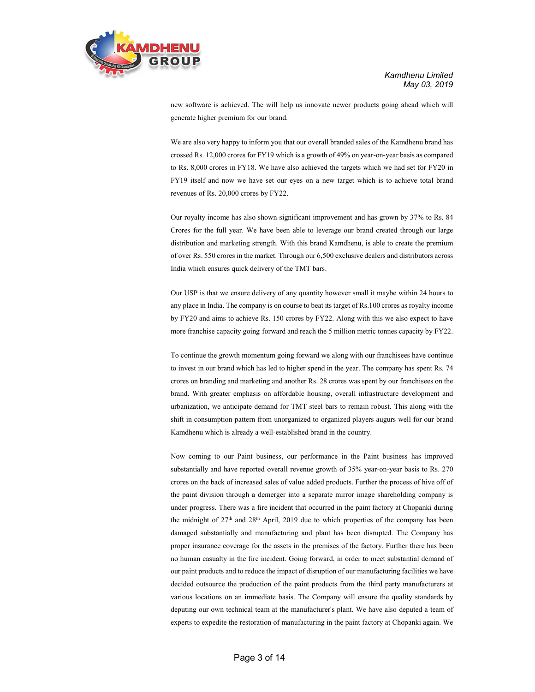

new software is achieved. The will help us innovate newer products going ahead which will generate higher premium for our brand.

We are also very happy to inform you that our overall branded sales of the Kamdhenu brand has crossed Rs. 12,000 crores for FY19 which is a growth of 49% on year-on-year basis as compared to Rs. 8,000 crores in FY18. We have also achieved the targets which we had set for FY20 in FY19 itself and now we have set our eyes on a new target which is to achieve total brand revenues of Rs. 20,000 crores by FY22.

Our royalty income has also shown significant improvement and has grown by 37% to Rs. 84 Crores for the full year. We have been able to leverage our brand created through our large distribution and marketing strength. With this brand Kamdhenu, is able to create the premium of over Rs. 550 crores in the market. Through our 6,500 exclusive dealers and distributors across India which ensures quick delivery of the TMT bars.

Our USP is that we ensure delivery of any quantity however small it maybe within 24 hours to any place in India. The company is on course to beat its target of Rs.100 crores as royalty income by FY20 and aims to achieve Rs. 150 crores by FY22. Along with this we also expect to have more franchise capacity going forward and reach the 5 million metric tonnes capacity by FY22.

To continue the growth momentum going forward we along with our franchisees have continue to invest in our brand which has led to higher spend in the year. The company has spent Rs. 74 crores on branding and marketing and another Rs. 28 crores was spent by our franchisees on the brand. With greater emphasis on affordable housing, overall infrastructure development and urbanization, we anticipate demand for TMT steel bars to remain robust. This along with the shift in consumption pattern from unorganized to organized players augurs well for our brand Kamdhenu which is already a well-established brand in the country.

Now coming to our Paint business, our performance in the Paint business has improved substantially and have reported overall revenue growth of 35% year-on-year basis to Rs. 270 crores on the back of increased sales of value added products. Further the process of hive off of the paint division through a demerger into a separate mirror image shareholding company is under progress. There was a fire incident that occurred in the paint factory at Chopanki during the midnight of  $27<sup>th</sup>$  and  $28<sup>th</sup>$  April, 2019 due to which properties of the company has been damaged substantially and manufacturing and plant has been disrupted. The Company has proper insurance coverage for the assets in the premises of the factory. Further there has been no human casualty in the fire incident. Going forward, in order to meet substantial demand of our paint products and to reduce the impact of disruption of our manufacturing facilities we have decided outsource the production of the paint products from the third party manufacturers at various locations on an immediate basis. The Company will ensure the quality standards by deputing our own technical team at the manufacturer's plant. We have also deputed a team of experts to expedite the restoration of manufacturing in the paint factory at Chopanki again. We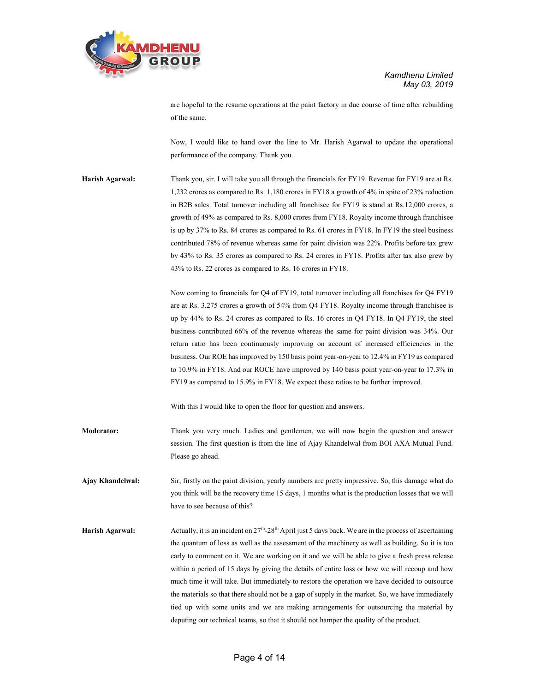

are hopeful to the resume operations at the paint factory in due course of time after rebuilding of the same.

Now, I would like to hand over the line to Mr. Harish Agarwal to update the operational performance of the company. Thank you.

Harish Agarwal: Thank you, sir. I will take you all through the financials for FY19. Revenue for FY19 are at Rs. 1,232 crores as compared to Rs. 1,180 crores in FY18 a growth of 4% in spite of 23% reduction in B2B sales. Total turnover including all franchisee for FY19 is stand at Rs.12,000 crores, a growth of 49% as compared to Rs. 8,000 crores from FY18. Royalty income through franchisee is up by 37% to Rs. 84 crores as compared to Rs. 61 crores in FY18. In FY19 the steel business contributed 78% of revenue whereas same for paint division was 22%. Profits before tax grew by 43% to Rs. 35 crores as compared to Rs. 24 crores in FY18. Profits after tax also grew by 43% to Rs. 22 crores as compared to Rs. 16 crores in FY18.

> Now coming to financials for Q4 of FY19, total turnover including all franchises for Q4 FY19 are at Rs. 3,275 crores a growth of 54% from Q4 FY18. Royalty income through franchisee is up by 44% to Rs. 24 crores as compared to Rs. 16 crores in Q4 FY18. In Q4 FY19, the steel business contributed 66% of the revenue whereas the same for paint division was 34%. Our return ratio has been continuously improving on account of increased efficiencies in the business. Our ROE has improved by 150 basis point year-on-year to 12.4% in FY19 as compared to 10.9% in FY18. And our ROCE have improved by 140 basis point year-on-year to 17.3% in FY19 as compared to 15.9% in FY18. We expect these ratios to be further improved.

With this I would like to open the floor for question and answers.

Moderator: Thank you very much. Ladies and gentlemen, we will now begin the question and answer session. The first question is from the line of Ajay Khandelwal from BOI AXA Mutual Fund. Please go ahead.

Ajay Khandelwal: Sir, firstly on the paint division, yearly numbers are pretty impressive. So, this damage what do you think will be the recovery time 15 days, 1 months what is the production losses that we will have to see because of this?

Harish Agarwal: Actually, it is an incident on  $27<sup>th</sup> - 28<sup>th</sup>$  April just 5 days back. We are in the process of ascertaining the quantum of loss as well as the assessment of the machinery as well as building. So it is too early to comment on it. We are working on it and we will be able to give a fresh press release within a period of 15 days by giving the details of entire loss or how we will recoup and how much time it will take. But immediately to restore the operation we have decided to outsource the materials so that there should not be a gap of supply in the market. So, we have immediately tied up with some units and we are making arrangements for outsourcing the material by deputing our technical teams, so that it should not hamper the quality of the product.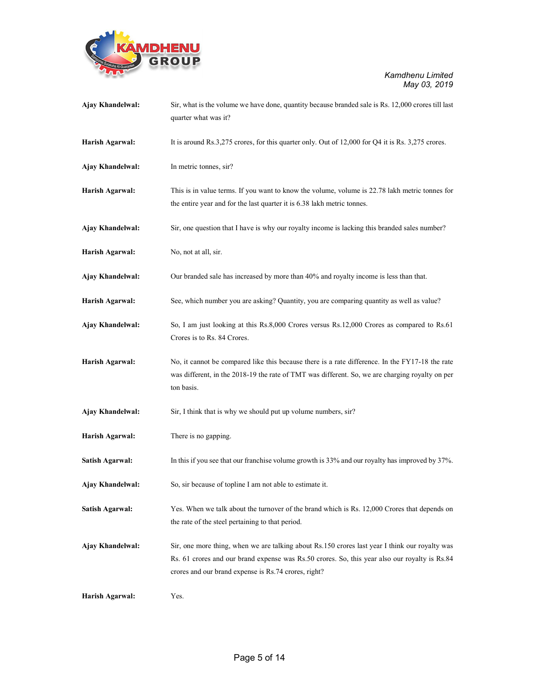

| Ajay Khandelwal: | Sir, what is the volume we have done, quantity because branded sale is Rs. 12,000 crores till last<br>quarter what was it?                                                                                                                              |
|------------------|---------------------------------------------------------------------------------------------------------------------------------------------------------------------------------------------------------------------------------------------------------|
| Harish Agarwal:  | It is around Rs.3,275 crores, for this quarter only. Out of 12,000 for Q4 it is Rs. 3,275 crores.                                                                                                                                                       |
| Ajay Khandelwal: | In metric tonnes, sir?                                                                                                                                                                                                                                  |
| Harish Agarwal:  | This is in value terms. If you want to know the volume, volume is 22.78 lakh metric tonnes for<br>the entire year and for the last quarter it is 6.38 lakh metric tonnes.                                                                               |
| Ajay Khandelwal: | Sir, one question that I have is why our royalty income is lacking this branded sales number?                                                                                                                                                           |
| Harish Agarwal:  | No, not at all, sir.                                                                                                                                                                                                                                    |
| Ajay Khandelwal: | Our branded sale has increased by more than 40% and royalty income is less than that.                                                                                                                                                                   |
| Harish Agarwal:  | See, which number you are asking? Quantity, you are comparing quantity as well as value?                                                                                                                                                                |
| Ajay Khandelwal: | So, I am just looking at this Rs.8,000 Crores versus Rs.12,000 Crores as compared to Rs.61<br>Crores is to Rs. 84 Crores.                                                                                                                               |
| Harish Agarwal:  | No, it cannot be compared like this because there is a rate difference. In the FY17-18 the rate<br>was different, in the 2018-19 the rate of TMT was different. So, we are charging royalty on per<br>ton basis.                                        |
| Ajay Khandelwal: | Sir, I think that is why we should put up volume numbers, sir?                                                                                                                                                                                          |
| Harish Agarwal:  | There is no gapping.                                                                                                                                                                                                                                    |
| Satish Agarwal:  | In this if you see that our franchise volume growth is 33% and our royalty has improved by 37%.                                                                                                                                                         |
| Ajay Khandelwal: | So, sir because of topline I am not able to estimate it.                                                                                                                                                                                                |
| Satish Agarwal:  | Yes. When we talk about the turnover of the brand which is Rs. 12,000 Crores that depends on<br>the rate of the steel pertaining to that period.                                                                                                        |
| Ajay Khandelwal: | Sir, one more thing, when we are talking about Rs.150 crores last year I think our royalty was<br>Rs. 61 crores and our brand expense was Rs.50 crores. So, this year also our royalty is Rs.84<br>crores and our brand expense is Rs.74 crores, right? |
| Harish Agarwal:  | Yes.                                                                                                                                                                                                                                                    |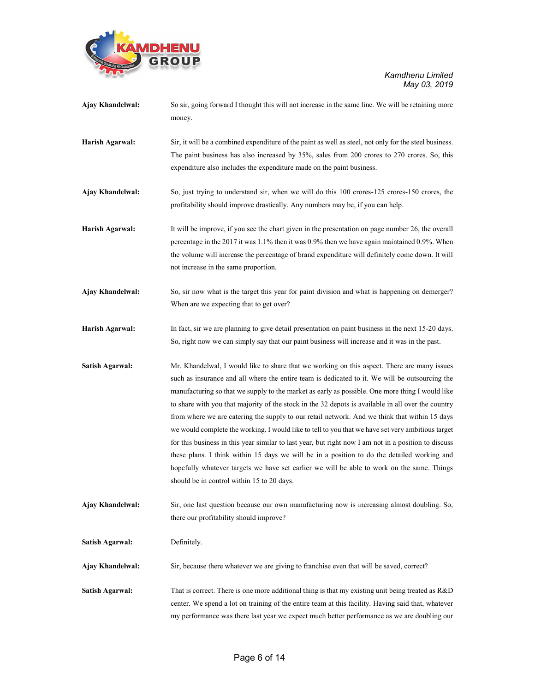

| Ajay Khandelwal:       | So sir, going forward I thought this will not increase in the same line. We will be retaining more<br>money.                                                                                                                                                                                                                                                                                                                                                                                                                                                                                                                                                                                                                                                                                                                                                                                                                                                    |
|------------------------|-----------------------------------------------------------------------------------------------------------------------------------------------------------------------------------------------------------------------------------------------------------------------------------------------------------------------------------------------------------------------------------------------------------------------------------------------------------------------------------------------------------------------------------------------------------------------------------------------------------------------------------------------------------------------------------------------------------------------------------------------------------------------------------------------------------------------------------------------------------------------------------------------------------------------------------------------------------------|
| Harish Agarwal:        | Sir, it will be a combined expenditure of the paint as well as steel, not only for the steel business.<br>The paint business has also increased by 35%, sales from 200 crores to 270 crores. So, this<br>expenditure also includes the expenditure made on the paint business.                                                                                                                                                                                                                                                                                                                                                                                                                                                                                                                                                                                                                                                                                  |
| Ajay Khandelwal:       | So, just trying to understand sir, when we will do this 100 crores-125 crores-150 crores, the<br>profitability should improve drastically. Any numbers may be, if you can help.                                                                                                                                                                                                                                                                                                                                                                                                                                                                                                                                                                                                                                                                                                                                                                                 |
| Harish Agarwal:        | It will be improve, if you see the chart given in the presentation on page number 26, the overall<br>percentage in the 2017 it was 1.1% then it was 0.9% then we have again maintained 0.9%. When<br>the volume will increase the percentage of brand expenditure will definitely come down. It will<br>not increase in the same proportion.                                                                                                                                                                                                                                                                                                                                                                                                                                                                                                                                                                                                                    |
| Ajay Khandelwal:       | So, sir now what is the target this year for paint division and what is happening on demerger?<br>When are we expecting that to get over?                                                                                                                                                                                                                                                                                                                                                                                                                                                                                                                                                                                                                                                                                                                                                                                                                       |
| Harish Agarwal:        | In fact, sir we are planning to give detail presentation on paint business in the next 15-20 days.<br>So, right now we can simply say that our paint business will increase and it was in the past.                                                                                                                                                                                                                                                                                                                                                                                                                                                                                                                                                                                                                                                                                                                                                             |
| <b>Satish Agarwal:</b> | Mr. Khandelwal, I would like to share that we working on this aspect. There are many issues<br>such as insurance and all where the entire team is dedicated to it. We will be outsourcing the<br>manufacturing so that we supply to the market as early as possible. One more thing I would like<br>to share with you that majority of the stock in the 32 depots is available in all over the country<br>from where we are catering the supply to our retail network. And we think that within 15 days<br>we would complete the working. I would like to tell to you that we have set very ambitious target<br>for this business in this year similar to last year, but right now I am not in a position to discuss<br>these plans. I think within 15 days we will be in a position to do the detailed working and<br>hopefully whatever targets we have set earlier we will be able to work on the same. Things<br>should be in control within 15 to 20 days. |
| Ajay Khandelwal:       | Sir, one last question because our own manufacturing now is increasing almost doubling. So,<br>there our profitability should improve?                                                                                                                                                                                                                                                                                                                                                                                                                                                                                                                                                                                                                                                                                                                                                                                                                          |
| <b>Satish Agarwal:</b> | Definitely.                                                                                                                                                                                                                                                                                                                                                                                                                                                                                                                                                                                                                                                                                                                                                                                                                                                                                                                                                     |
| Ajay Khandelwal:       | Sir, because there whatever we are giving to franchise even that will be saved, correct?                                                                                                                                                                                                                                                                                                                                                                                                                                                                                                                                                                                                                                                                                                                                                                                                                                                                        |
| Satish Agarwal:        | That is correct. There is one more additional thing is that my existing unit being treated as R&D<br>center. We spend a lot on training of the entire team at this facility. Having said that, whatever<br>my performance was there last year we expect much better performance as we are doubling our                                                                                                                                                                                                                                                                                                                                                                                                                                                                                                                                                                                                                                                          |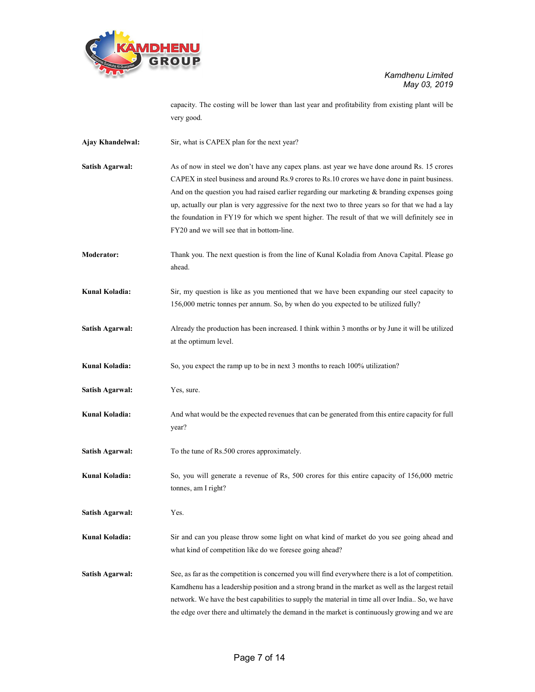

capacity. The costing will be lower than last year and profitability from existing plant will be very good.

- Ajay Khandelwal: Sir, what is CAPEX plan for the next year?
- Satish Agarwal: As of now in steel we don't have any capex plans. ast year we have done around Rs. 15 crores CAPEX in steel business and around Rs.9 crores to Rs.10 crores we have done in paint business. And on the question you had raised earlier regarding our marketing & branding expenses going up, actually our plan is very aggressive for the next two to three years so for that we had a lay the foundation in FY19 for which we spent higher. The result of that we will definitely see in FY20 and we will see that in bottom-line.
- Moderator: Thank you. The next question is from the line of Kunal Koladia from Anova Capital. Please go ahead.
- Kunal Koladia: Sir, my question is like as you mentioned that we have been expanding our steel capacity to 156,000 metric tonnes per annum. So, by when do you expected to be utilized fully?
- Satish Agarwal: Already the production has been increased. I think within 3 months or by June it will be utilized at the optimum level.

Kunal Koladia: So, you expect the ramp up to be in next 3 months to reach 100% utilization?

- Satish Agarwal: Yes, sure.
- Kunal Koladia: And what would be the expected revenues that can be generated from this entire capacity for full year?
- Satish Agarwal: To the tune of Rs.500 crores approximately.
- Kunal Koladia: So, you will generate a revenue of Rs, 500 crores for this entire capacity of 156,000 metric tonnes, am I right?

Satish Agarwal: Yes.

- Kunal Koladia: Sir and can you please throw some light on what kind of market do you see going ahead and what kind of competition like do we foresee going ahead?
- Satish Agarwal: See, as far as the competition is concerned you will find everywhere there is a lot of competition. Kamdhenu has a leadership position and a strong brand in the market as well as the largest retail network. We have the best capabilities to supply the material in time all over India.. So, we have the edge over there and ultimately the demand in the market is continuously growing and we are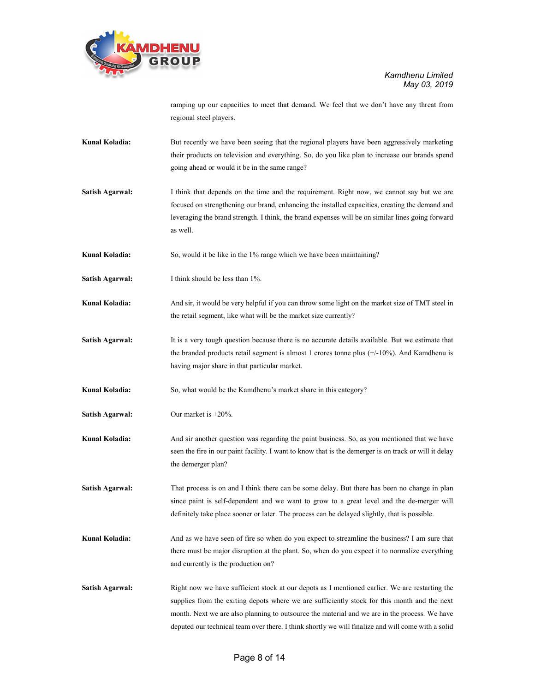

ramping up our capacities to meet that demand. We feel that we don't have any threat from regional steel players.

- Kunal Koladia: But recently we have been seeing that the regional players have been aggressively marketing their products on television and everything. So, do you like plan to increase our brands spend going ahead or would it be in the same range?
- Satish Agarwal: I think that depends on the time and the requirement. Right now, we cannot say but we are focused on strengthening our brand, enhancing the installed capacities, creating the demand and leveraging the brand strength. I think, the brand expenses will be on similar lines going forward as well.
- Kunal Koladia: So, would it be like in the 1% range which we have been maintaining?
- Satish Agarwal: I think should be less than 1%.
- Kunal Koladia: And sir, it would be very helpful if you can throw some light on the market size of TMT steel in the retail segment, like what will be the market size currently?
- Satish Agarwal: It is a very tough question because there is no accurate details available. But we estimate that the branded products retail segment is almost 1 crores tonne plus (+/-10%). And Kamdhenu is having major share in that particular market.
- Kunal Koladia: So, what would be the Kamdhenu's market share in this category?
- Satish Agarwal: Our market is +20%.
- Kunal Koladia: And sir another question was regarding the paint business. So, as you mentioned that we have seen the fire in our paint facility. I want to know that is the demerger is on track or will it delay the demerger plan?

Satish Agarwal: That process is on and I think there can be some delay. But there has been no change in plan since paint is self-dependent and we want to grow to a great level and the de-merger will definitely take place sooner or later. The process can be delayed slightly, that is possible.

- Kunal Koladia: And as we have seen of fire so when do you expect to streamline the business? I am sure that there must be major disruption at the plant. So, when do you expect it to normalize everything and currently is the production on?
- Satish Agarwal: Right now we have sufficient stock at our depots as I mentioned earlier. We are restarting the supplies from the exiting depots where we are sufficiently stock for this month and the next month. Next we are also planning to outsource the material and we are in the process. We have deputed our technical team over there. I think shortly we will finalize and will come with a solid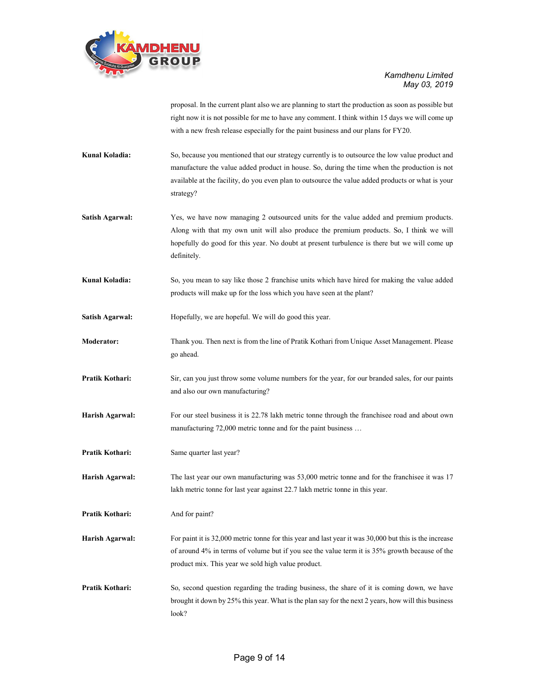

proposal. In the current plant also we are planning to start the production as soon as possible but right now it is not possible for me to have any comment. I think within 15 days we will come up with a new fresh release especially for the paint business and our plans for FY20.

- Kunal Koladia: So, because you mentioned that our strategy currently is to outsource the low value product and manufacture the value added product in house. So, during the time when the production is not available at the facility, do you even plan to outsource the value added products or what is your strategy?
- Satish Agarwal: Yes, we have now managing 2 outsourced units for the value added and premium products. Along with that my own unit will also produce the premium products. So, I think we will hopefully do good for this year. No doubt at present turbulence is there but we will come up definitely.
- Kunal Koladia: So, you mean to say like those 2 franchise units which have hired for making the value added products will make up for the loss which you have seen at the plant?
- Satish Agarwal: Hopefully, we are hopeful. We will do good this year.
- Moderator: Thank you. Then next is from the line of Pratik Kothari from Unique Asset Management. Please go ahead.
- Pratik Kothari: Sir, can you just throw some volume numbers for the year, for our branded sales, for our paints and also our own manufacturing?
- Harish Agarwal: For our steel business it is 22.78 lakh metric tonne through the franchisee road and about own manufacturing 72,000 metric tonne and for the paint business …
- Pratik Kothari: Same quarter last year?
- Harish Agarwal: The last year our own manufacturing was 53,000 metric tonne and for the franchisee it was 17 lakh metric tonne for last year against 22.7 lakh metric tonne in this year.
- Pratik Kothari: And for paint?
- Harish Agarwal: For paint it is 32,000 metric tonne for this year and last year it was 30,000 but this is the increase of around 4% in terms of volume but if you see the value term it is 35% growth because of the product mix. This year we sold high value product.
- **Pratik Kothari:** So, second question regarding the trading business, the share of it is coming down, we have brought it down by 25% this year. What is the plan say for the next 2 years, how will this business look?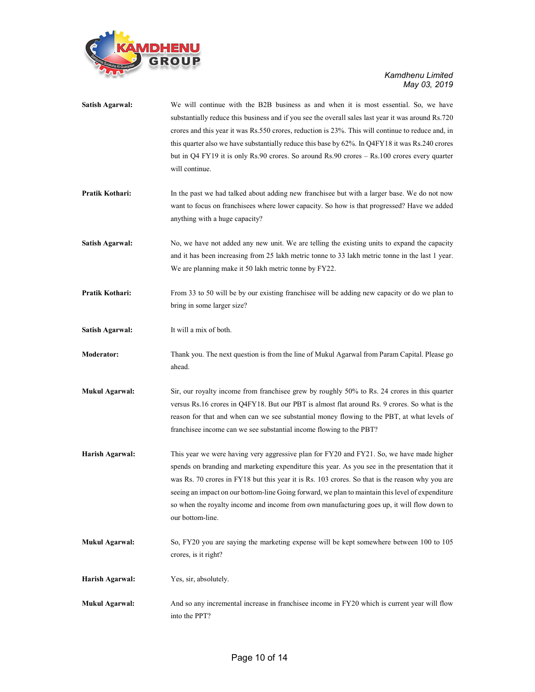

| <b>Satish Agarwal:</b> | We will continue with the B2B business as and when it is most essential. So, we have<br>substantially reduce this business and if you see the overall sales last year it was around Rs.720<br>crores and this year it was Rs.550 crores, reduction is 23%. This will continue to reduce and, in<br>this quarter also we have substantially reduce this base by 62%. In Q4FY18 it was Rs.240 crores<br>but in Q4 FY19 it is only Rs.90 crores. So around Rs.90 crores - Rs.100 crores every quarter<br>will continue. |  |
|------------------------|----------------------------------------------------------------------------------------------------------------------------------------------------------------------------------------------------------------------------------------------------------------------------------------------------------------------------------------------------------------------------------------------------------------------------------------------------------------------------------------------------------------------|--|
| Pratik Kothari:        | In the past we had talked about adding new franchisee but with a larger base. We do not now<br>want to focus on franchisees where lower capacity. So how is that progressed? Have we added<br>anything with a huge capacity?                                                                                                                                                                                                                                                                                         |  |
| <b>Satish Agarwal:</b> | No, we have not added any new unit. We are telling the existing units to expand the capacity<br>and it has been increasing from 25 lakh metric tonne to 33 lakh metric tonne in the last 1 year.<br>We are planning make it 50 lakh metric tonne by FY22.                                                                                                                                                                                                                                                            |  |
| Pratik Kothari:        | From 33 to 50 will be by our existing franchisee will be adding new capacity or do we plan to<br>bring in some larger size?                                                                                                                                                                                                                                                                                                                                                                                          |  |
| <b>Satish Agarwal:</b> | It will a mix of both.                                                                                                                                                                                                                                                                                                                                                                                                                                                                                               |  |
| <b>Moderator:</b>      | Thank you. The next question is from the line of Mukul Agarwal from Param Capital. Please go<br>ahead.                                                                                                                                                                                                                                                                                                                                                                                                               |  |
| <b>Mukul Agarwal:</b>  | Sir, our royalty income from franchisee grew by roughly 50% to Rs. 24 crores in this quarter<br>versus Rs.16 crores in Q4FY18. But our PBT is almost flat around Rs. 9 crores. So what is the<br>reason for that and when can we see substantial money flowing to the PBT, at what levels of<br>franchisee income can we see substantial income flowing to the PBT?                                                                                                                                                  |  |
| Harish Agarwal:        | This year we were having very aggressive plan for FY20 and FY21. So, we have made higher<br>spends on branding and marketing expenditure this year. As you see in the presentation that it<br>was Rs. 70 crores in FY18 but this year it is Rs. 103 crores. So that is the reason why you are<br>seeing an impact on our bottom-line Going forward, we plan to maintain this level of expenditure<br>so when the royalty income and income from own manufacturing goes up, it will flow down to<br>our bottom-line.  |  |
| <b>Mukul Agarwal:</b>  | So, FY20 you are saying the marketing expense will be kept somewhere between 100 to 105<br>crores, is it right?                                                                                                                                                                                                                                                                                                                                                                                                      |  |
| Harish Agarwal:        | Yes, sir, absolutely.                                                                                                                                                                                                                                                                                                                                                                                                                                                                                                |  |
| <b>Mukul Agarwal:</b>  | And so any incremental increase in franchisee income in FY20 which is current year will flow<br>into the PPT?                                                                                                                                                                                                                                                                                                                                                                                                        |  |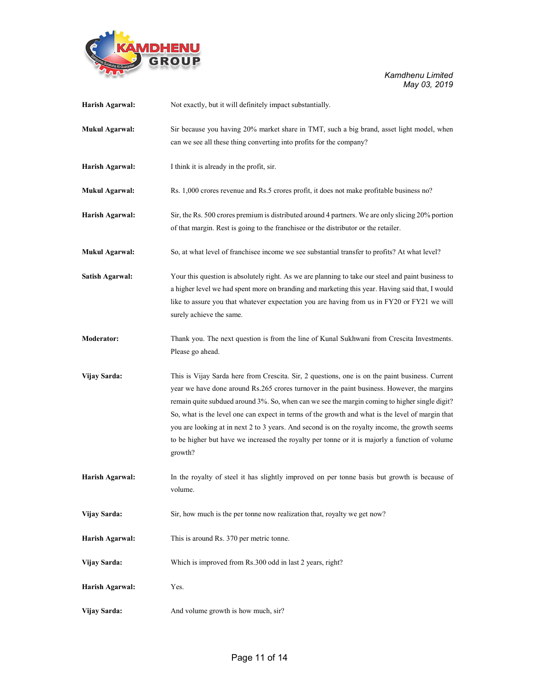

| Harish Agarwal:        | Not exactly, but it will definitely impact substantially.                                                 |
|------------------------|-----------------------------------------------------------------------------------------------------------|
| <b>Mukul Agarwal:</b>  | Sir because you having 20% market share in TMT, such a big brand, asset light model, when                 |
|                        | can we see all these thing converting into profits for the company?                                       |
| Harish Agarwal:        | I think it is already in the profit, sir.                                                                 |
| <b>Mukul Agarwal:</b>  | Rs. 1,000 crores revenue and Rs.5 crores profit, it does not make profitable business no?                 |
| Harish Agarwal:        | Sir, the Rs. 500 crores premium is distributed around 4 partners. We are only slicing 20% portion         |
|                        | of that margin. Rest is going to the franchisee or the distributor or the retailer.                       |
| <b>Mukul Agarwal:</b>  | So, at what level of franchisee income we see substantial transfer to profits? At what level?             |
| <b>Satish Agarwal:</b> | Your this question is absolutely right. As we are planning to take our steel and paint business to        |
|                        | a higher level we had spent more on branding and marketing this year. Having said that, I would           |
|                        | like to assure you that whatever expectation you are having from us in FY20 or FY21 we will               |
|                        | surely achieve the same.                                                                                  |
| <b>Moderator:</b>      | Thank you. The next question is from the line of Kunal Sukhwani from Crescita Investments.                |
|                        | Please go ahead.                                                                                          |
| Vijay Sarda:           | This is Vijay Sarda here from Crescita. Sir, 2 questions, one is on the paint business. Current           |
|                        | year we have done around Rs.265 crores turnover in the paint business. However, the margins               |
|                        | remain quite subdued around 3%. So, when can we see the margin coming to higher single digit?             |
|                        | So, what is the level one can expect in terms of the growth and what is the level of margin that          |
|                        | you are looking at in next 2 to 3 years. And second is on the royalty income, the growth seems            |
|                        | to be higher but have we increased the royalty per tonne or it is majorly a function of volume<br>growth? |
| Harish Agarwal:        | In the royalty of steel it has slightly improved on per tonne basis but growth is because of              |
|                        | volume.                                                                                                   |
| Vijay Sarda:           | Sir, how much is the per tonne now realization that, royalty we get now?                                  |
| Harish Agarwal:        | This is around Rs. 370 per metric tonne.                                                                  |
| Vijay Sarda:           | Which is improved from Rs.300 odd in last 2 years, right?                                                 |
| Harish Agarwal:        | Yes.                                                                                                      |
| Vijay Sarda:           | And volume growth is how much, sir?                                                                       |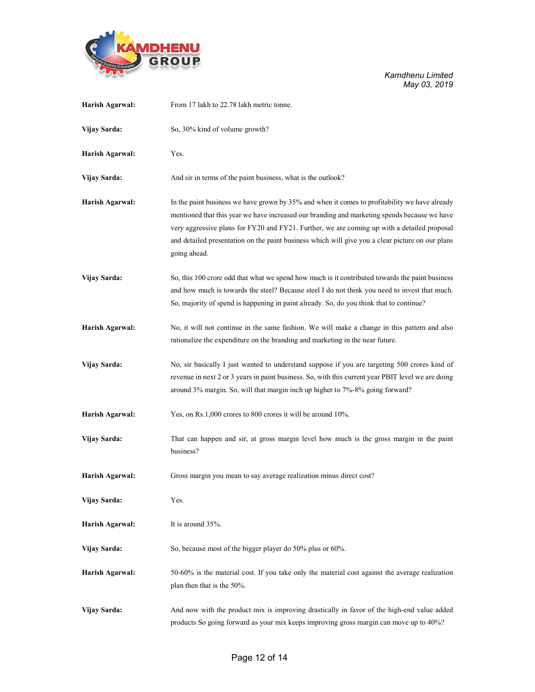

| Harish Agarwal: | From 17 lakh to 22.78 lakh metric tonne.                                                                                                                                                                                                                                                                                                                                                                         |
|-----------------|------------------------------------------------------------------------------------------------------------------------------------------------------------------------------------------------------------------------------------------------------------------------------------------------------------------------------------------------------------------------------------------------------------------|
| Vijay Sarda:    | So, 30% kind of volume growth?                                                                                                                                                                                                                                                                                                                                                                                   |
| Harish Agarwal: | Yes.                                                                                                                                                                                                                                                                                                                                                                                                             |
| Vijay Sarda:    | And sir in terms of the paint business, what is the outlook?                                                                                                                                                                                                                                                                                                                                                     |
| Harish Agarwal: | In the paint business we have grown by 35% and when it comes to profitability we have already<br>mentioned that this year we have increased our branding and marketing spends because we have<br>very aggressive plans for FY20 and FY21. Further, we are coming up with a detailed proposal<br>and detailed presentation on the paint business which will give you a clear picture on our plans<br>going ahead. |
| Vijay Sarda:    | So, this 100 crore odd that what we spend how much is it contributed towards the paint business<br>and how much is towards the steel? Because steel I do not think you need to invest that much.<br>So, majority of spend is happening in paint already. So, do you think that to continue?                                                                                                                      |
| Harish Agarwal: | No, it will not continue in the same fashion. We will make a change in this pattern and also<br>rationalize the expenditure on the branding and marketing in the near future.                                                                                                                                                                                                                                    |
| Vijay Sarda:    | No, sir basically I just wanted to understand suppose if you are targeting 500 crores kind of<br>revenue in next 2 or 3 years in paint business. So, with this current year PBIT level we are doing<br>around 3% margin. So, will that margin inch up higher to 7%-8% going forward?                                                                                                                             |
| Harish Agarwal: | Yes, on Rs.1,000 crores to 800 crores it will be around 10%.                                                                                                                                                                                                                                                                                                                                                     |
| Vijay Sarda:    | That can happen and sir, at gross margin level how much is the gross margin in the paint<br>business?                                                                                                                                                                                                                                                                                                            |
| Harish Agarwal: | Gross margin you mean to say average realization minus direct cost?                                                                                                                                                                                                                                                                                                                                              |
| Vijay Sarda:    | Yes.                                                                                                                                                                                                                                                                                                                                                                                                             |
| Harish Agarwal: | It is around 35%.                                                                                                                                                                                                                                                                                                                                                                                                |
| Vijay Sarda:    | So, because most of the bigger player do 50% plus or 60%.                                                                                                                                                                                                                                                                                                                                                        |
| Harish Agarwal: | 50-60% is the material cost. If you take only the material cost against the average realization<br>plan then that is the 50%.                                                                                                                                                                                                                                                                                    |
| Vijay Sarda:    | And now with the product mix is improving drastically in favor of the high-end value added<br>products So going forward as your mix keeps improving gross margin can move up to 40%?                                                                                                                                                                                                                             |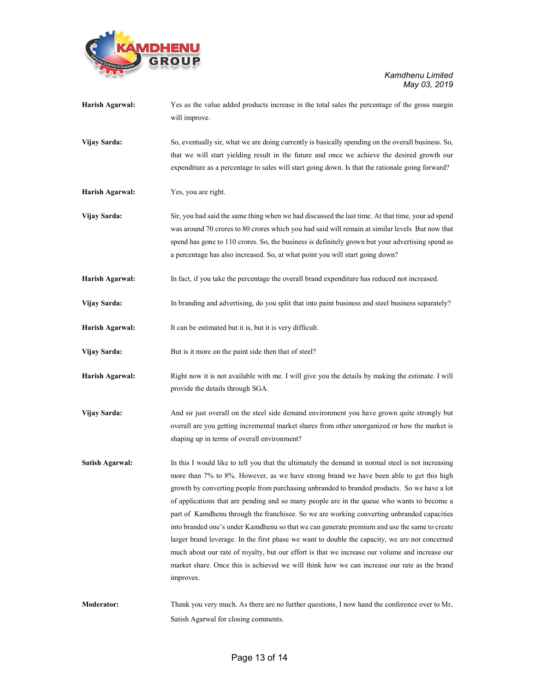

| Harish Agarwal:        | Yes as the value added products increase in the total sales the percentage of the gross margin<br>will improve. |
|------------------------|-----------------------------------------------------------------------------------------------------------------|
| Vijay Sarda:           | So, eventually sir, what we are doing currently is basically spending on the overall business. So,              |
|                        | that we will start yielding result in the future and once we achieve the desired growth our                     |
|                        | expenditure as a percentage to sales will start going down. Is that the rationale going forward?                |
| Harish Agarwal:        | Yes, you are right.                                                                                             |
| Vijay Sarda:           | Sir, you had said the same thing when we had discussed the last time. At that time, your ad spend               |
|                        | was around 70 crores to 80 crores which you had said will remain at similar levels But now that                 |
|                        | spend has gone to 110 crores. So, the business is definitely grown but your advertising spend as                |
|                        | a percentage has also increased. So, at what point you will start going down?                                   |
| Harish Agarwal:        | In fact, if you take the percentage the overall brand expenditure has reduced not increased.                    |
| Vijay Sarda:           | In branding and advertising, do you split that into paint business and steel business separately?               |
| Harish Agarwal:        | It can be estimated but it is, but it is very difficult.                                                        |
| Vijay Sarda:           | But is it more on the paint side then that of steel?                                                            |
| Harish Agarwal:        | Right now it is not available with me. I will give you the details by making the estimate. I will               |
|                        | provide the details through SGA.                                                                                |
| Vijay Sarda:           | And sir just overall on the steel side demand environment you have grown quite strongly but                     |
|                        | overall are you getting incremental market shares from other unorganized or how the market is                   |
|                        | shaping up in terms of overall environment?                                                                     |
| <b>Satish Agarwal:</b> | In this I would like to tell you that the ultimately the demand in normal steel is not increasing               |
|                        | more than 7% to 8%. However, as we have strong brand we have been able to get this high                         |
|                        | growth by converting people from purchasing unbranded to branded products. So we have a lot                     |
|                        | of applications that are pending and so many people are in the queue who wants to become a                      |
|                        | part of Kamdhenu through the franchisee. So we are working converting unbranded capacities                      |
|                        | into branded one's under Kamdhenu so that we can generate premium and use the same to create                    |
|                        | larger brand leverage. In the first phase we want to double the capacity, we are not concerned                  |
|                        | much about our rate of royalty, but our effort is that we increase our volume and increase our                  |
|                        | market share. Once this is achieved we will think how we can increase our rate as the brand<br>improves.        |
|                        |                                                                                                                 |
| <b>Moderator:</b>      | Thank you very much. As there are no further questions, I now hand the conference over to Mr.                   |
|                        | Satish Agarwal for closing comments.                                                                            |